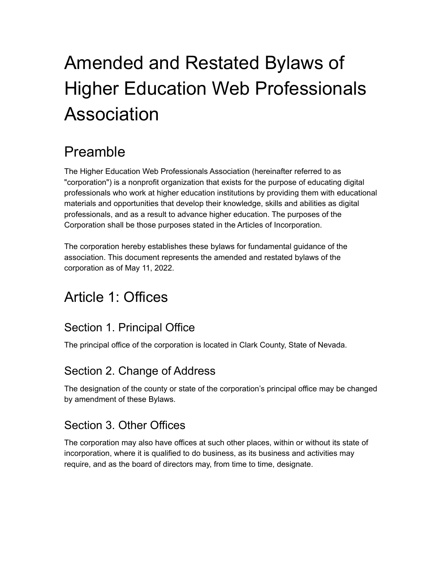# Amended and Restated Bylaws of Higher Education Web Professionals Association

# Preamble

The Higher Education Web Professionals Association (hereinafter referred to as "corporation") is a nonprofit organization that exists for the purpose of educating digital professionals who work at higher education institutions by providing them with educational materials and opportunities that develop their knowledge, skills and abilities as digital professionals, and as a result to advance higher education. The purposes of the Corporation shall be those purposes stated in the Articles of Incorporation.

The corporation hereby establishes these bylaws for fundamental guidance of the association. This document represents the amended and restated bylaws of the corporation as of May 11, 2022.

# Article 1: Offices

# Section 1. Principal Office

The principal office of the corporation is located in Clark County, State of Nevada.

#### Section 2. Change of Address

The designation of the county or state of the corporation's principal office may be changed by amendment of these Bylaws.

# Section 3. Other Offices

The corporation may also have offices at such other places, within or without its state of incorporation, where it is qualified to do business, as its business and activities may require, and as the board of directors may, from time to time, designate.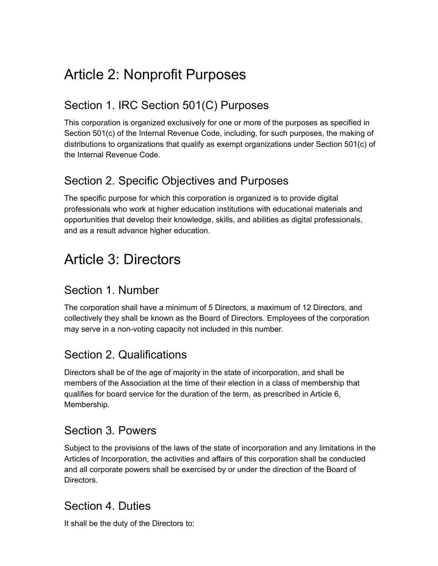# Article 2: Nonprofit Purposes

### Section 1. IRC Section 501(C) Purposes

This corporation is organized exclusively for one or more of the purposes as specified in Section 501(c) of the Internal Revenue Code, including, for such purposes, the making of distributions to organizations that qualify as exempt organizations under Section 501(c) of the Internal Revenue Code.

#### Section 2. Specific Objectives and Purposes

The specific purpose for which this corporation is organized is to provide digital professionals who work at higher education institutions with educational materials and opportunities that develop their knowledge, skills, and abilities as digital professionals, and as a result advance higher education.

# Article 3: Directors

#### Section 1. Number

The corporation shall have a minimum of 5 Directors, a maximum of 12 Directors, and collectively they shall be known as the Board of Directors. Employees of the corporation may serve in a non-voting capacity not included in this number.

#### Section 2. Qualifications

Directors shall be of the age of majority in the state of incorporation, and shall be members of the Association at the time of their election in a class of membership that qualifies for board service for the duration of the term, as prescribed in Article 6, Membership.

#### Section 3. Powers

Subject to the provisions of the laws of the state of incorporation and any limitations in the Articles of Incorporation, the activities and affairs of this corporation shall be conducted and all corporate powers shall be exercised by or under the direction of the Board of Directors.

#### Section 4. Duties

It shall be the duty of the Directors to: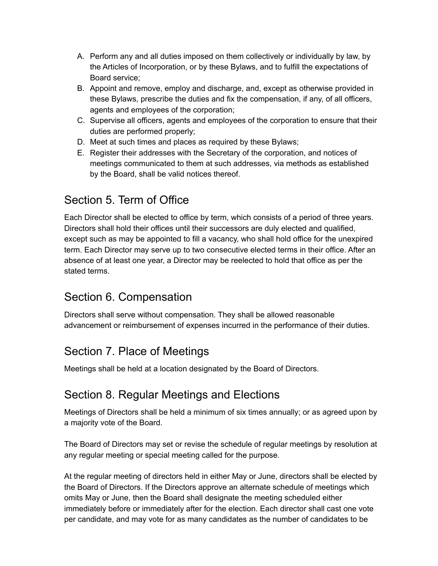- A. Perform any and all duties imposed on them collectively or individually by law, by the Articles of Incorporation, or by these Bylaws, and to fulfill the expectations of Board service;
- B. Appoint and remove, employ and discharge, and, except as otherwise provided in these Bylaws, prescribe the duties and fix the compensation, if any, of all officers, agents and employees of the corporation;
- C. Supervise all officers, agents and employees of the corporation to ensure that their duties are performed properly;
- D. Meet at such times and places as required by these Bylaws;
- E. Register their addresses with the Secretary of the corporation, and notices of meetings communicated to them at such addresses, via methods as established by the Board, shall be valid notices thereof.

# Section 5. Term of Office

Each Director shall be elected to office by term, which consists of a period of three years. Directors shall hold their offices until their successors are duly elected and qualified, except such as may be appointed to fill a vacancy, who shall hold office for the unexpired term. Each Director may serve up to two consecutive elected terms in their office. After an absence of at least one year, a Director may be reelected to hold that office as per the stated terms.

#### Section 6. Compensation

Directors shall serve without compensation. They shall be allowed reasonable advancement or reimbursement of expenses incurred in the performance of their duties.

# Section 7. Place of Meetings

Meetings shall be held at a location designated by the Board of Directors.

#### Section 8. Regular Meetings and Elections

Meetings of Directors shall be held a minimum of six times annually; or as agreed upon by a majority vote of the Board.

The Board of Directors may set or revise the schedule of regular meetings by resolution at any regular meeting or special meeting called for the purpose.

At the regular meeting of directors held in either May or June, directors shall be elected by the Board of Directors. If the Directors approve an alternate schedule of meetings which omits May or June, then the Board shall designate the meeting scheduled either immediately before or immediately after for the election. Each director shall cast one vote per candidate, and may vote for as many candidates as the number of candidates to be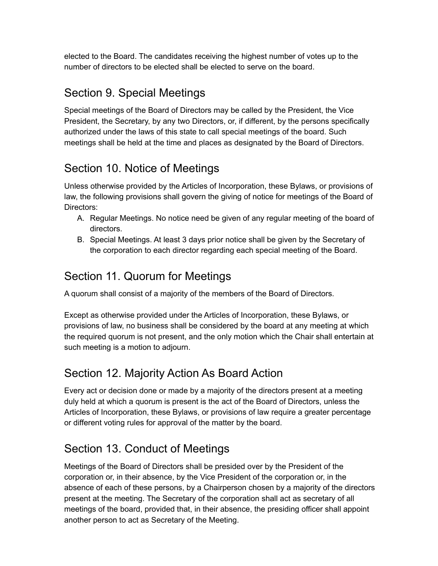elected to the Board. The candidates receiving the highest number of votes up to the number of directors to be elected shall be elected to serve on the board.

# Section 9. Special Meetings

Special meetings of the Board of Directors may be called by the President, the Vice President, the Secretary, by any two Directors, or, if different, by the persons specifically authorized under the laws of this state to call special meetings of the board. Such meetings shall be held at the time and places as designated by the Board of Directors.

### Section 10. Notice of Meetings

Unless otherwise provided by the Articles of Incorporation, these Bylaws, or provisions of law, the following provisions shall govern the giving of notice for meetings of the Board of Directors:

- A. Regular Meetings. No notice need be given of any regular meeting of the board of directors.
- B. Special Meetings. At least 3 days prior notice shall be given by the Secretary of the corporation to each director regarding each special meeting of the Board.

### Section 11. Quorum for Meetings

A quorum shall consist of a majority of the members of the Board of Directors.

Except as otherwise provided under the Articles of Incorporation, these Bylaws, or provisions of law, no business shall be considered by the board at any meeting at which the required quorum is not present, and the only motion which the Chair shall entertain at such meeting is a motion to adjourn.

#### Section 12. Majority Action As Board Action

Every act or decision done or made by a majority of the directors present at a meeting duly held at which a quorum is present is the act of the Board of Directors, unless the Articles of Incorporation, these Bylaws, or provisions of law require a greater percentage or different voting rules for approval of the matter by the board.

# Section 13. Conduct of Meetings

Meetings of the Board of Directors shall be presided over by the President of the corporation or, in their absence, by the Vice President of the corporation or, in the absence of each of these persons, by a Chairperson chosen by a majority of the directors present at the meeting. The Secretary of the corporation shall act as secretary of all meetings of the board, provided that, in their absence, the presiding officer shall appoint another person to act as Secretary of the Meeting.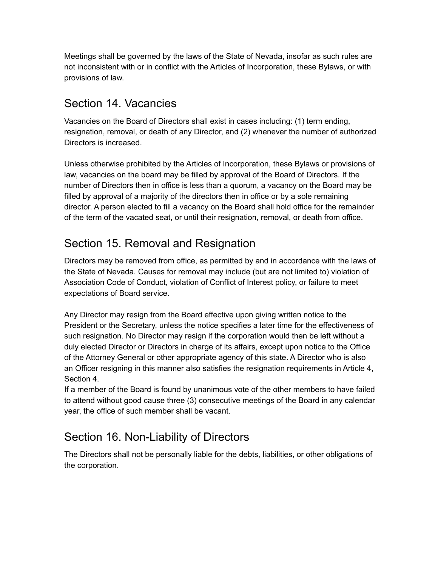Meetings shall be governed by the laws of the State of Nevada, insofar as such rules are not inconsistent with or in conflict with the Articles of Incorporation, these Bylaws, or with provisions of law.

#### Section 14. Vacancies

Vacancies on the Board of Directors shall exist in cases including: (1) term ending, resignation, removal, or death of any Director, and (2) whenever the number of authorized Directors is increased.

Unless otherwise prohibited by the Articles of Incorporation, these Bylaws or provisions of law, vacancies on the board may be filled by approval of the Board of Directors. If the number of Directors then in office is less than a quorum, a vacancy on the Board may be filled by approval of a majority of the directors then in office or by a sole remaining director. A person elected to fill a vacancy on the Board shall hold office for the remainder of the term of the vacated seat, or until their resignation, removal, or death from office.

#### Section 15. Removal and Resignation

Directors may be removed from office, as permitted by and in accordance with the laws of the State of Nevada. Causes for removal may include (but are not limited to) violation of Association Code of Conduct, violation of Conflict of Interest policy, or failure to meet expectations of Board service.

Any Director may resign from the Board effective upon giving written notice to the President or the Secretary, unless the notice specifies a later time for the effectiveness of such resignation. No Director may resign if the corporation would then be left without a duly elected Director or Directors in charge of its affairs, except upon notice to the Office of the Attorney General or other appropriate agency of this state. A Director who is also an Officer resigning in this manner also satisfies the resignation requirements in Article 4, Section 4.

If a member of the Board is found by unanimous vote of the other members to have failed to attend without good cause three (3) consecutive meetings of the Board in any calendar year, the office of such member shall be vacant.

# Section 16. Non-Liability of Directors

The Directors shall not be personally liable for the debts, liabilities, or other obligations of the corporation.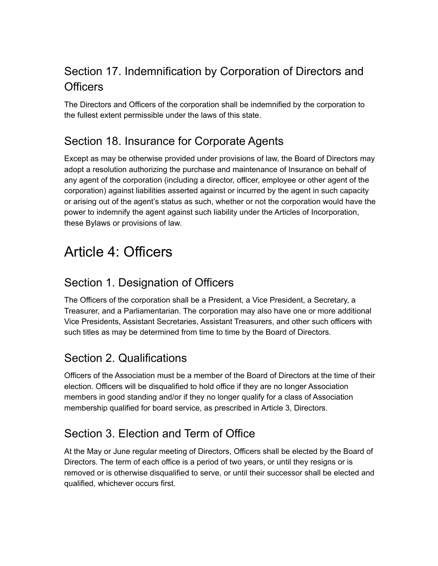# Section 17. Indemnification by Corporation of Directors and **Officers**

The Directors and Officers of the corporation shall be indemnified by the corporation to the fullest extent permissible under the laws of this state.

#### Section 18. Insurance for Corporate Agents

Except as may be otherwise provided under provisions of law, the Board of Directors may adopt a resolution authorizing the purchase and maintenance of Insurance on behalf of any agent of the corporation (including a director, officer, employee or other agent of the corporation) against liabilities asserted against or incurred by the agent in such capacity or arising out of the agent's status as such, whether or not the corporation would have the power to indemnify the agent against such liability under the Articles of Incorporation, these Bylaws or provisions of law.

# Article 4: Officers

# Section 1. Designation of Officers

The Officers of the corporation shall be a President, a Vice President, a Secretary, a Treasurer, and a Parliamentarian. The corporation may also have one or more additional Vice Presidents, Assistant Secretaries, Assistant Treasurers, and other such officers with such titles as may be determined from time to time by the Board of Directors.

# Section 2. Qualifications

Officers of the Association must be a member of the Board of Directors at the time of their election. Officers will be disqualified to hold office if they are no longer Association members in good standing and/or if they no longer qualify for a class of Association membership qualified for board service, as prescribed in Article 3, Directors.

# Section 3. Election and Term of Office

At the May or June regular meeting of Directors, Officers shall be elected by the Board of Directors. The term of each office is a period of two years, or until they resigns or is removed or is otherwise disqualified to serve, or until their successor shall be elected and qualified, whichever occurs first.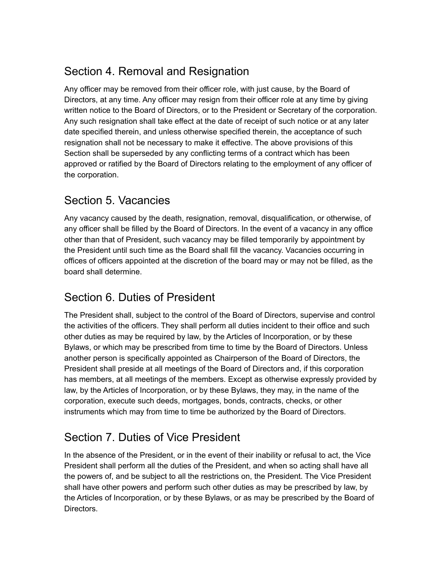# Section 4. Removal and Resignation

Any officer may be removed from their officer role, with just cause, by the Board of Directors, at any time. Any officer may resign from their officer role at any time by giving written notice to the Board of Directors, or to the President or Secretary of the corporation. Any such resignation shall take effect at the date of receipt of such notice or at any later date specified therein, and unless otherwise specified therein, the acceptance of such resignation shall not be necessary to make it effective. The above provisions of this Section shall be superseded by any conflicting terms of a contract which has been approved or ratified by the Board of Directors relating to the employment of any officer of the corporation.

#### Section 5. Vacancies

Any vacancy caused by the death, resignation, removal, disqualification, or otherwise, of any officer shall be filled by the Board of Directors. In the event of a vacancy in any office other than that of President, such vacancy may be filled temporarily by appointment by the President until such time as the Board shall fill the vacancy. Vacancies occurring in offices of officers appointed at the discretion of the board may or may not be filled, as the board shall determine.

#### Section 6. Duties of President

The President shall, subject to the control of the Board of Directors, supervise and control the activities of the officers. They shall perform all duties incident to their office and such other duties as may be required by law, by the Articles of Incorporation, or by these Bylaws, or which may be prescribed from time to time by the Board of Directors. Unless another person is specifically appointed as Chairperson of the Board of Directors, the President shall preside at all meetings of the Board of Directors and, if this corporation has members, at all meetings of the members. Except as otherwise expressly provided by law, by the Articles of Incorporation, or by these Bylaws, they may, in the name of the corporation, execute such deeds, mortgages, bonds, contracts, checks, or other instruments which may from time to time be authorized by the Board of Directors.

# Section 7. Duties of Vice President

In the absence of the President, or in the event of their inability or refusal to act, the Vice President shall perform all the duties of the President, and when so acting shall have all the powers of, and be subject to all the restrictions on, the President. The Vice President shall have other powers and perform such other duties as may be prescribed by law, by the Articles of Incorporation, or by these Bylaws, or as may be prescribed by the Board of Directors.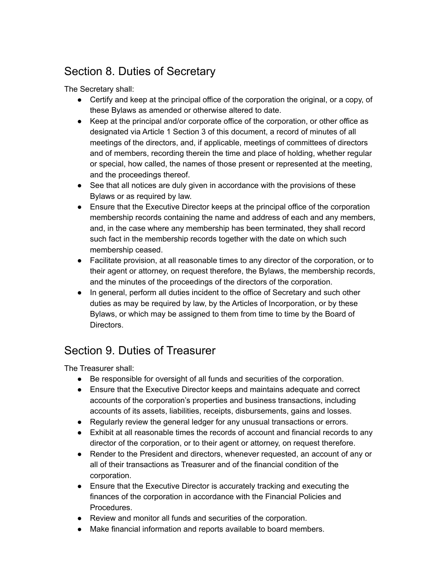# Section 8. Duties of Secretary

The Secretary shall:

- Certify and keep at the principal office of the corporation the original, or a copy, of these Bylaws as amended or otherwise altered to date.
- Keep at the principal and/or corporate office of the corporation, or other office as designated via Article 1 Section 3 of this document, a record of minutes of all meetings of the directors, and, if applicable, meetings of committees of directors and of members, recording therein the time and place of holding, whether regular or special, how called, the names of those present or represented at the meeting, and the proceedings thereof.
- See that all notices are duly given in accordance with the provisions of these Bylaws or as required by law.
- Ensure that the Executive Director keeps at the principal office of the corporation membership records containing the name and address of each and any members, and, in the case where any membership has been terminated, they shall record such fact in the membership records together with the date on which such membership ceased.
- Facilitate provision, at all reasonable times to any director of the corporation, or to their agent or attorney, on request therefore, the Bylaws, the membership records, and the minutes of the proceedings of the directors of the corporation.
- In general, perform all duties incident to the office of Secretary and such other duties as may be required by law, by the Articles of Incorporation, or by these Bylaws, or which may be assigned to them from time to time by the Board of Directors.

# Section 9. Duties of Treasurer

The Treasurer shall:

- Be responsible for oversight of all funds and securities of the corporation.
- Ensure that the Executive Director keeps and maintains adequate and correct accounts of the corporation's properties and business transactions, including accounts of its assets, liabilities, receipts, disbursements, gains and losses.
- Regularly review the general ledger for any unusual transactions or errors.
- Exhibit at all reasonable times the records of account and financial records to any director of the corporation, or to their agent or attorney, on request therefore.
- Render to the President and directors, whenever requested, an account of any or all of their transactions as Treasurer and of the financial condition of the corporation.
- Ensure that the Executive Director is accurately tracking and executing the finances of the corporation in accordance with the Financial Policies and Procedures.
- Review and monitor all funds and securities of the corporation.
- Make financial information and reports available to board members.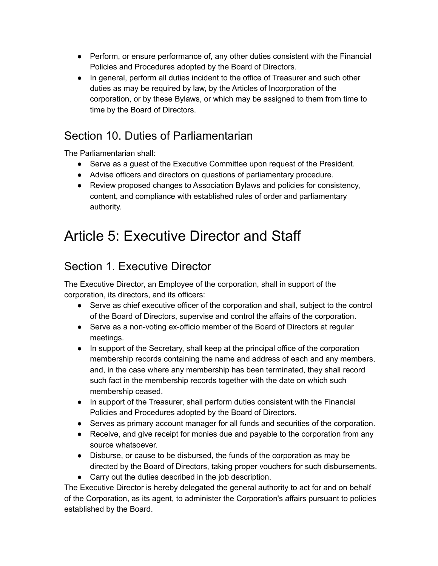- Perform, or ensure performance of, any other duties consistent with the Financial Policies and Procedures adopted by the Board of Directors.
- In general, perform all duties incident to the office of Treasurer and such other duties as may be required by law, by the Articles of Incorporation of the corporation, or by these Bylaws, or which may be assigned to them from time to time by the Board of Directors.

#### Section 10. Duties of Parliamentarian

The Parliamentarian shall:

- Serve as a guest of the Executive Committee upon request of the President.
- Advise officers and directors on questions of parliamentary procedure.
- Review proposed changes to Association Bylaws and policies for consistency, content, and compliance with established rules of order and parliamentary authority.

# Article 5: Executive Director and Staff

#### Section 1. Executive Director

The Executive Director, an Employee of the corporation, shall in support of the corporation, its directors, and its officers:

- Serve as chief executive officer of the corporation and shall, subject to the control of the Board of Directors, supervise and control the affairs of the corporation.
- Serve as a non-voting ex-officio member of the Board of Directors at regular meetings.
- In support of the Secretary, shall keep at the principal office of the corporation membership records containing the name and address of each and any members, and, in the case where any membership has been terminated, they shall record such fact in the membership records together with the date on which such membership ceased.
- In support of the Treasurer, shall perform duties consistent with the Financial Policies and Procedures adopted by the Board of Directors.
- Serves as primary account manager for all funds and securities of the corporation.
- Receive, and give receipt for monies due and payable to the corporation from any source whatsoever.
- Disburse, or cause to be disbursed, the funds of the corporation as may be directed by the Board of Directors, taking proper vouchers for such disbursements.
- Carry out the duties described in the job description.

The Executive Director is hereby delegated the general authority to act for and on behalf of the Corporation, as its agent, to administer the Corporation's affairs pursuant to policies established by the Board.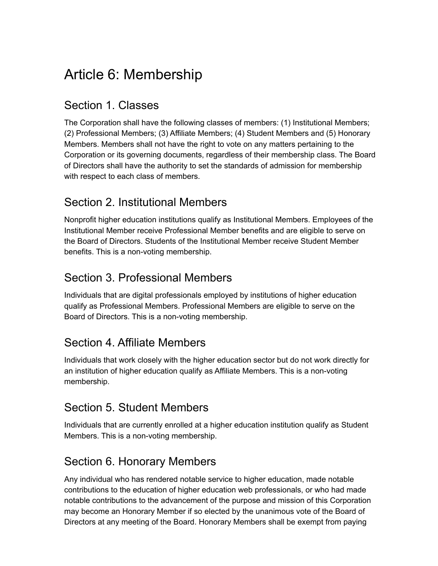# Article 6: Membership

#### Section 1. Classes

The Corporation shall have the following classes of members: (1) Institutional Members; (2) Professional Members; (3) Affiliate Members; (4) Student Members and (5) Honorary Members. Members shall not have the right to vote on any matters pertaining to the Corporation or its governing documents, regardless of their membership class. The Board of Directors shall have the authority to set the standards of admission for membership with respect to each class of members.

#### Section 2. Institutional Members

Nonprofit higher education institutions qualify as Institutional Members. Employees of the Institutional Member receive Professional Member benefits and are eligible to serve on the Board of Directors. Students of the Institutional Member receive Student Member benefits. This is a non-voting membership.

#### Section 3. Professional Members

Individuals that are digital professionals employed by institutions of higher education qualify as Professional Members. Professional Members are eligible to serve on the Board of Directors. This is a non-voting membership.

#### Section 4. Affiliate Members

Individuals that work closely with the higher education sector but do not work directly for an institution of higher education qualify as Affiliate Members. This is a non-voting membership.

#### Section 5. Student Members

Individuals that are currently enrolled at a higher education institution qualify as Student Members. This is a non-voting membership.

#### Section 6. Honorary Members

Any individual who has rendered notable service to higher education, made notable contributions to the education of higher education web professionals, or who had made notable contributions to the advancement of the purpose and mission of this Corporation may become an Honorary Member if so elected by the unanimous vote of the Board of Directors at any meeting of the Board. Honorary Members shall be exempt from paying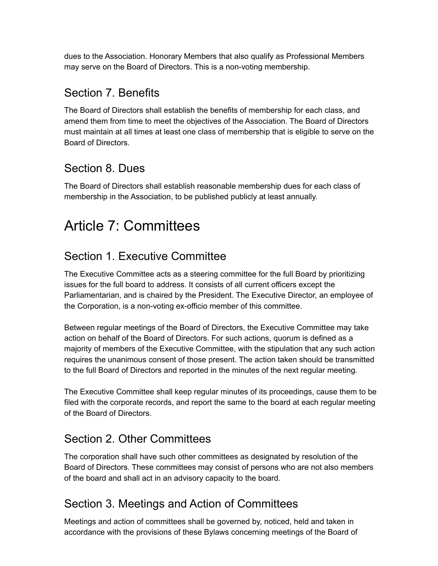dues to the Association. Honorary Members that also qualify as Professional Members may serve on the Board of Directors. This is a non-voting membership.

### Section 7. Benefits

The Board of Directors shall establish the benefits of membership for each class, and amend them from time to meet the objectives of the Association. The Board of Directors must maintain at all times at least one class of membership that is eligible to serve on the Board of Directors.

# Section 8. Dues

The Board of Directors shall establish reasonable membership dues for each class of membership in the Association, to be published publicly at least annually.

# Article 7: Committees

# Section 1. Executive Committee

The Executive Committee acts as a steering committee for the full Board by prioritizing issues for the full board to address. It consists of all current officers except the Parliamentarian, and is chaired by the President. The Executive Director, an employee of the Corporation, is a non-voting ex-officio member of this committee.

Between regular meetings of the Board of Directors, the Executive Committee may take action on behalf of the Board of Directors. For such actions, quorum is defined as a majority of members of the Executive Committee, with the stipulation that any such action requires the unanimous consent of those present. The action taken should be transmitted to the full Board of Directors and reported in the minutes of the next regular meeting.

The Executive Committee shall keep regular minutes of its proceedings, cause them to be filed with the corporate records, and report the same to the board at each regular meeting of the Board of Directors.

# Section 2. Other Committees

The corporation shall have such other committees as designated by resolution of the Board of Directors. These committees may consist of persons who are not also members of the board and shall act in an advisory capacity to the board.

# Section 3. Meetings and Action of Committees

Meetings and action of committees shall be governed by, noticed, held and taken in accordance with the provisions of these Bylaws concerning meetings of the Board of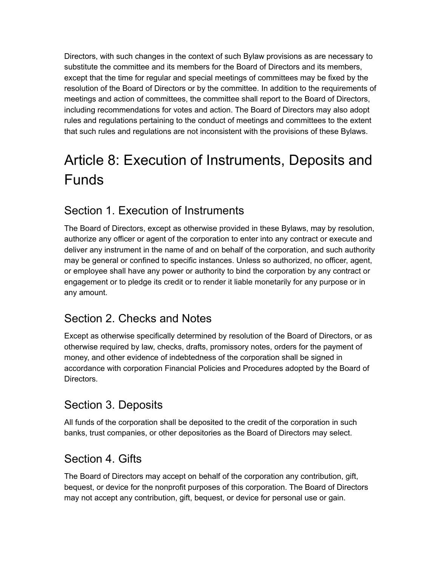Directors, with such changes in the context of such Bylaw provisions as are necessary to substitute the committee and its members for the Board of Directors and its members, except that the time for regular and special meetings of committees may be fixed by the resolution of the Board of Directors or by the committee. In addition to the requirements of meetings and action of committees, the committee shall report to the Board of Directors, including recommendations for votes and action. The Board of Directors may also adopt rules and regulations pertaining to the conduct of meetings and committees to the extent that such rules and regulations are not inconsistent with the provisions of these Bylaws.

# Article 8: Execution of Instruments, Deposits and Funds

# Section 1. Execution of Instruments

The Board of Directors, except as otherwise provided in these Bylaws, may by resolution, authorize any officer or agent of the corporation to enter into any contract or execute and deliver any instrument in the name of and on behalf of the corporation, and such authority may be general or confined to specific instances. Unless so authorized, no officer, agent, or employee shall have any power or authority to bind the corporation by any contract or engagement or to pledge its credit or to render it liable monetarily for any purpose or in any amount.

#### Section 2. Checks and Notes

Except as otherwise specifically determined by resolution of the Board of Directors, or as otherwise required by law, checks, drafts, promissory notes, orders for the payment of money, and other evidence of indebtedness of the corporation shall be signed in accordance with corporation Financial Policies and Procedures adopted by the Board of Directors.

#### Section 3. Deposits

All funds of the corporation shall be deposited to the credit of the corporation in such banks, trust companies, or other depositories as the Board of Directors may select.

#### Section 4. Gifts

The Board of Directors may accept on behalf of the corporation any contribution, gift, bequest, or device for the nonprofit purposes of this corporation. The Board of Directors may not accept any contribution, gift, bequest, or device for personal use or gain.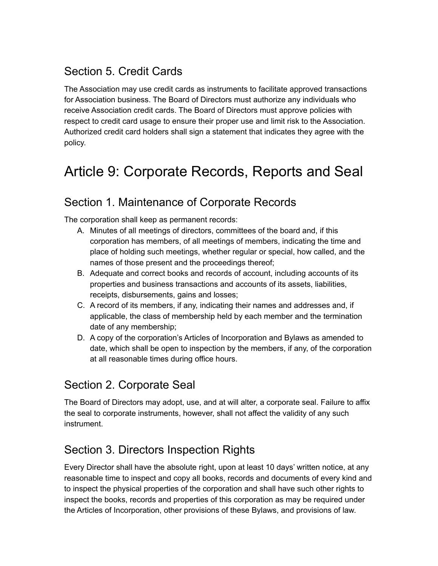### Section 5. Credit Cards

The Association may use credit cards as instruments to facilitate approved transactions for Association business. The Board of Directors must authorize any individuals who receive Association credit cards. The Board of Directors must approve policies with respect to credit card usage to ensure their proper use and limit risk to the Association. Authorized credit card holders shall sign a statement that indicates they agree with the policy.

# Article 9: Corporate Records, Reports and Seal

#### Section 1. Maintenance of Corporate Records

The corporation shall keep as permanent records:

- A. Minutes of all meetings of directors, committees of the board and, if this corporation has members, of all meetings of members, indicating the time and place of holding such meetings, whether regular or special, how called, and the names of those present and the proceedings thereof;
- B. Adequate and correct books and records of account, including accounts of its properties and business transactions and accounts of its assets, liabilities, receipts, disbursements, gains and losses;
- C. A record of its members, if any, indicating their names and addresses and, if applicable, the class of membership held by each member and the termination date of any membership;
- D. A copy of the corporation's Articles of Incorporation and Bylaws as amended to date, which shall be open to inspection by the members, if any, of the corporation at all reasonable times during office hours.

#### Section 2. Corporate Seal

The Board of Directors may adopt, use, and at will alter, a corporate seal. Failure to affix the seal to corporate instruments, however, shall not affect the validity of any such instrument.

#### Section 3. Directors Inspection Rights

Every Director shall have the absolute right, upon at least 10 days' written notice, at any reasonable time to inspect and copy all books, records and documents of every kind and to inspect the physical properties of the corporation and shall have such other rights to inspect the books, records and properties of this corporation as may be required under the Articles of Incorporation, other provisions of these Bylaws, and provisions of law.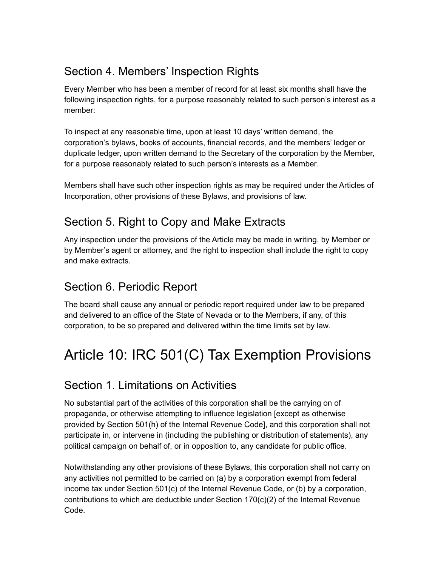# Section 4. Members' Inspection Rights

Every Member who has been a member of record for at least six months shall have the following inspection rights, for a purpose reasonably related to such person's interest as a member:

To inspect at any reasonable time, upon at least 10 days' written demand, the corporation's bylaws, books of accounts, financial records, and the members' ledger or duplicate ledger, upon written demand to the Secretary of the corporation by the Member, for a purpose reasonably related to such person's interests as a Member.

Members shall have such other inspection rights as may be required under the Articles of Incorporation, other provisions of these Bylaws, and provisions of law.

### Section 5. Right to Copy and Make Extracts

Any inspection under the provisions of the Article may be made in writing, by Member or by Member's agent or attorney, and the right to inspection shall include the right to copy and make extracts.

# Section 6. Periodic Report

The board shall cause any annual or periodic report required under law to be prepared and delivered to an office of the State of Nevada or to the Members, if any, of this corporation, to be so prepared and delivered within the time limits set by law.

# Article 10: IRC 501(C) Tax Exemption Provisions

#### Section 1. Limitations on Activities

No substantial part of the activities of this corporation shall be the carrying on of propaganda, or otherwise attempting to influence legislation [except as otherwise provided by Section 501(h) of the Internal Revenue Code], and this corporation shall not participate in, or intervene in (including the publishing or distribution of statements), any political campaign on behalf of, or in opposition to, any candidate for public office.

Notwithstanding any other provisions of these Bylaws, this corporation shall not carry on any activities not permitted to be carried on (a) by a corporation exempt from federal income tax under Section 501(c) of the Internal Revenue Code, or (b) by a corporation, contributions to which are deductible under Section 170(c)(2) of the Internal Revenue Code.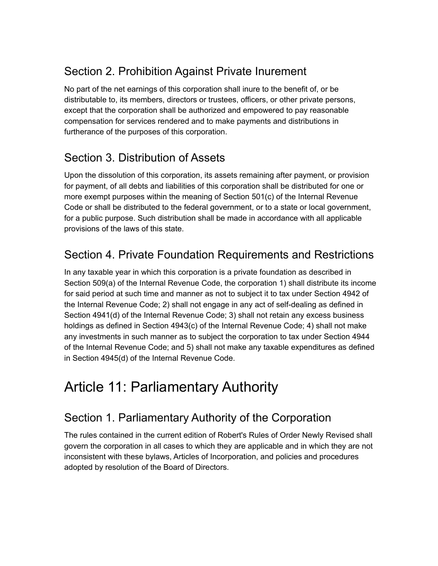# Section 2. Prohibition Against Private Inurement

No part of the net earnings of this corporation shall inure to the benefit of, or be distributable to, its members, directors or trustees, officers, or other private persons, except that the corporation shall be authorized and empowered to pay reasonable compensation for services rendered and to make payments and distributions in furtherance of the purposes of this corporation.

# Section 3. Distribution of Assets

Upon the dissolution of this corporation, its assets remaining after payment, or provision for payment, of all debts and liabilities of this corporation shall be distributed for one or more exempt purposes within the meaning of Section 501(c) of the Internal Revenue Code or shall be distributed to the federal government, or to a state or local government, for a public purpose. Such distribution shall be made in accordance with all applicable provisions of the laws of this state.

# Section 4. Private Foundation Requirements and Restrictions

In any taxable year in which this corporation is a private foundation as described in Section 509(a) of the Internal Revenue Code, the corporation 1) shall distribute its income for said period at such time and manner as not to subject it to tax under Section 4942 of the Internal Revenue Code; 2) shall not engage in any act of self-dealing as defined in Section 4941(d) of the Internal Revenue Code; 3) shall not retain any excess business holdings as defined in Section 4943(c) of the Internal Revenue Code; 4) shall not make any investments in such manner as to subject the corporation to tax under Section 4944 of the Internal Revenue Code; and 5) shall not make any taxable expenditures as defined in Section 4945(d) of the Internal Revenue Code.

# Article 11: Parliamentary Authority

# Section 1. Parliamentary Authority of the Corporation

The rules contained in the current edition of Robert's Rules of Order Newly Revised shall govern the corporation in all cases to which they are applicable and in which they are not inconsistent with these bylaws, Articles of Incorporation, and policies and procedures adopted by resolution of the Board of Directors.